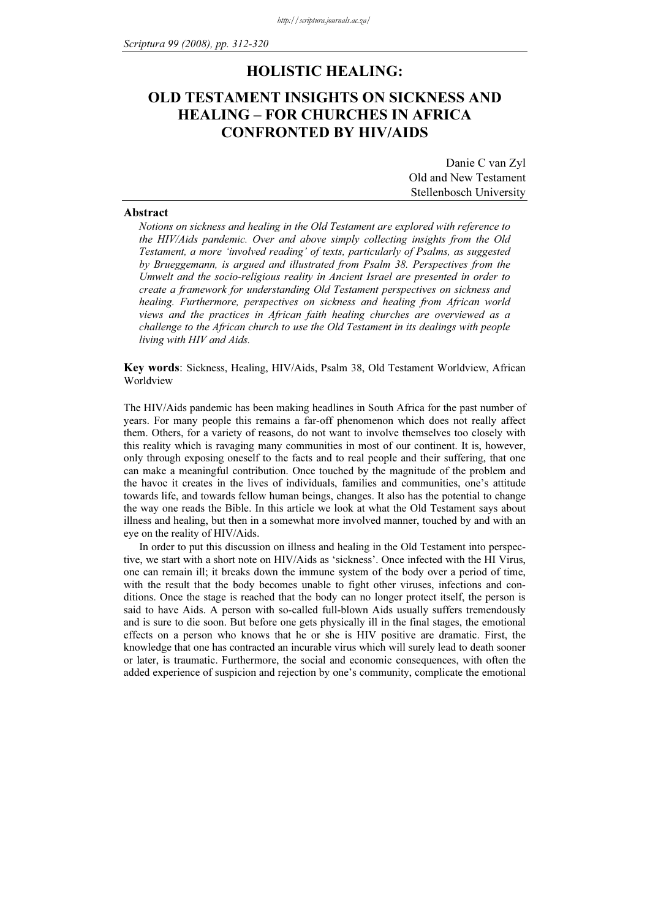# HOLISTIC HEALING:

# OLD TESTAMENT INSIGHTS ON SICKNESS AND HEALING – FOR CHURCHES IN AFRICA CONFRONTED BY HIV/AIDS

| Danie C van Zyl         |
|-------------------------|
| Old and New Testament   |
| Stellenbosch University |

## Abstract

Notions on sickness and healing in the Old Testament are explored with reference to the HIV/Aids pandemic. Over and above simply collecting insights from the Old Testament, a more 'involved reading' of texts, particularly of Psalms, as suggested by Brueggemann, is argued and illustrated from Psalm 38. Perspectives from the Umwelt and the socio-religious reality in Ancient Israel are presented in order to create a framework for understanding Old Testament perspectives on sickness and healing. Furthermore, perspectives on sickness and healing from African world views and the practices in African faith healing churches are overviewed as a challenge to the African church to use the Old Testament in its dealings with people living with HIV and Aids.

Key words: Sickness, Healing, HIV/Aids, Psalm 38, Old Testament Worldview, African Worldview

The HIV/Aids pandemic has been making headlines in South Africa for the past number of years. For many people this remains a far-off phenomenon which does not really affect them. Others, for a variety of reasons, do not want to involve themselves too closely with this reality which is ravaging many communities in most of our continent. It is, however, only through exposing oneself to the facts and to real people and their suffering, that one can make a meaningful contribution. Once touched by the magnitude of the problem and the havoc it creates in the lives of individuals, families and communities, one's attitude towards life, and towards fellow human beings, changes. It also has the potential to change the way one reads the Bible. In this article we look at what the Old Testament says about illness and healing, but then in a somewhat more involved manner, touched by and with an eye on the reality of HIV/Aids.

In order to put this discussion on illness and healing in the Old Testament into perspective, we start with a short note on HIV/Aids as 'sickness'. Once infected with the HI Virus, one can remain ill; it breaks down the immune system of the body over a period of time, with the result that the body becomes unable to fight other viruses, infections and conditions. Once the stage is reached that the body can no longer protect itself, the person is said to have Aids. A person with so-called full-blown Aids usually suffers tremendously and is sure to die soon. But before one gets physically ill in the final stages, the emotional effects on a person who knows that he or she is HIV positive are dramatic. First, the knowledge that one has contracted an incurable virus which will surely lead to death sooner or later, is traumatic. Furthermore, the social and economic consequences, with often the added experience of suspicion and rejection by one's community, complicate the emotional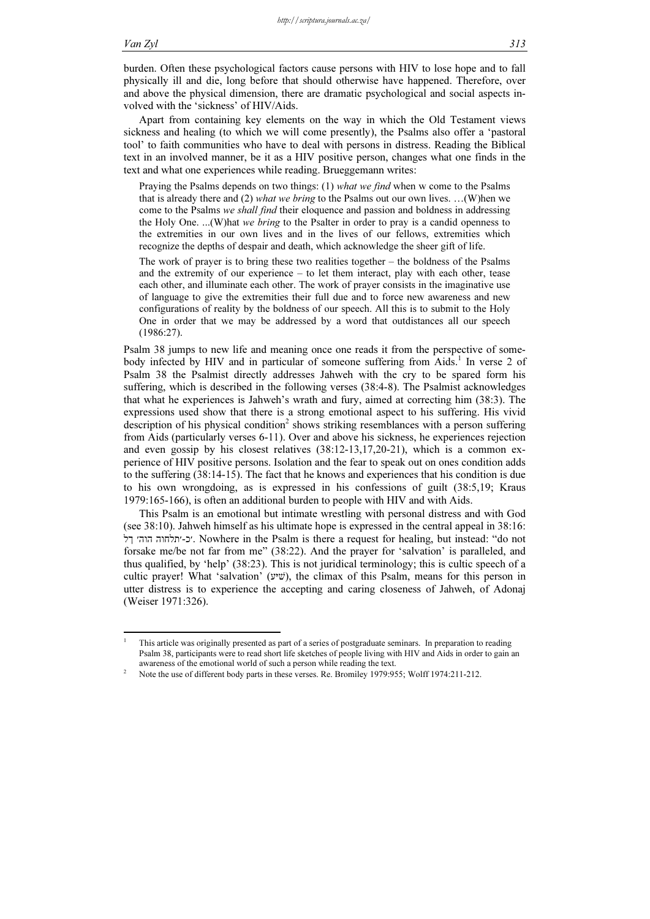-1

burden. Often these psychological factors cause persons with HIV to lose hope and to fall physically ill and die, long before that should otherwise have happened. Therefore, over and above the physical dimension, there are dramatic psychological and social aspects involved with the 'sickness' of HIV/Aids.

Apart from containing key elements on the way in which the Old Testament views sickness and healing (to which we will come presently), the Psalms also offer a 'pastoral tool' to faith communities who have to deal with persons in distress. Reading the Biblical text in an involved manner, be it as a HIV positive person, changes what one finds in the text and what one experiences while reading. Brueggemann writes:

Praying the Psalms depends on two things: (1) what we find when w come to the Psalms that is already there and (2) what we bring to the Psalms out our own lives. ... (W)hen we come to the Psalms we shall find their eloquence and passion and boldness in addressing the Holy One. ...(W)hat we bring to the Psalter in order to pray is a candid openness to the extremities in our own lives and in the lives of our fellows, extremities which recognize the depths of despair and death, which acknowledge the sheer gift of life.

The work of prayer is to bring these two realities together – the boldness of the Psalms and the extremity of our experience – to let them interact, play with each other, tease each other, and illuminate each other. The work of prayer consists in the imaginative use of language to give the extremities their full due and to force new awareness and new configurations of reality by the boldness of our speech. All this is to submit to the Holy One in order that we may be addressed by a word that outdistances all our speech (1986:27).

Psalm 38 jumps to new life and meaning once one reads it from the perspective of somebody infected by HIV and in particular of someone suffering from Aids.<sup>1</sup> In verse 2 of Psalm 38 the Psalmist directly addresses Jahweh with the cry to be spared form his suffering, which is described in the following verses (38:4-8). The Psalmist acknowledges that what he experiences is Jahweh's wrath and fury, aimed at correcting him (38:3). The expressions used show that there is a strong emotional aspect to his suffering. His vivid description of his physical condition<sup>2</sup> shows striking resemblances with a person suffering from Aids (particularly verses 6-11). Over and above his sickness, he experiences rejection and even gossip by his closest relatives (38:12-13,17,20-21), which is a common experience of HIV positive persons. Isolation and the fear to speak out on ones condition adds to the suffering (38:14-15). The fact that he knows and experiences that his condition is due to his own wrongdoing, as is expressed in his confessions of guilt (38:5,19; Kraus 1979:165-166), is often an additional burden to people with HIV and with Aids.

This Psalm is an emotional but intimate wrestling with personal distress and with God (see 38:10). Jahweh himself as his ultimate hope is expressed in the central appeal in 38:16: ךל הוה תלחוה-כ. Nowhere in the Psalm is there a request for healing, but instead: "do not forsake me/be not far from me" (38:22). And the prayer for 'salvation' is paralleled, and thus qualified, by 'help' (38:23). This is not juridical terminology; this is cultic speech of a cultic prayer! What 'salvation' (שׁיּע(, the climax of this Psalm, means for this person in utter distress is to experience the accepting and caring closeness of Jahweh, of Adonaj (Weiser 1971:326).

This article was originally presented as part of a series of postgraduate seminars. In preparation to reading Psalm 38, participants were to read short life sketches of people living with HIV and Aids in order to gain an awareness of the emotional world of such a person while reading the text. <sup>2</sup>

Note the use of different body parts in these verses. Re. Bromiley 1979:955; Wolff 1974:211-212.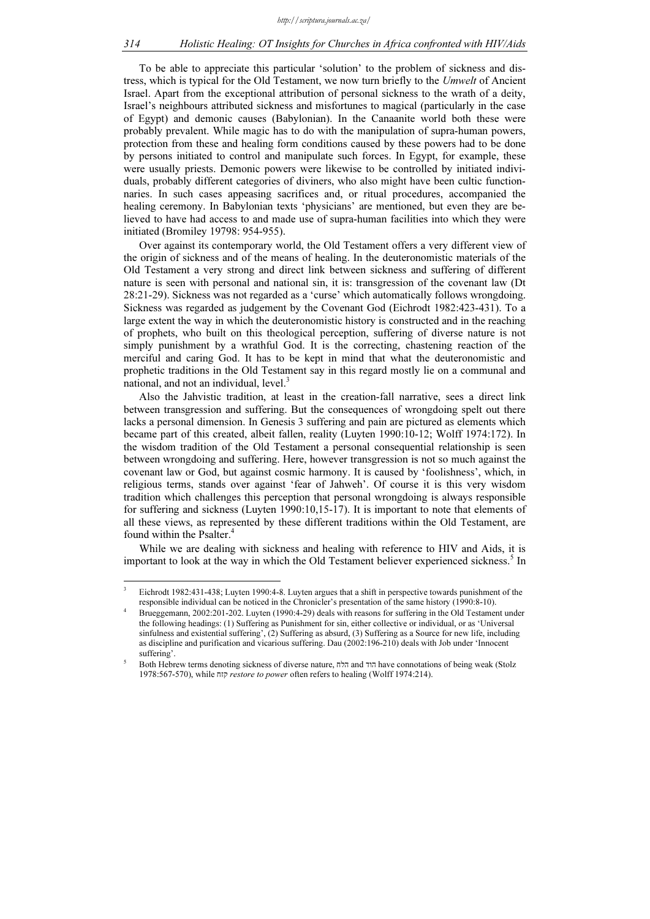### 314 Holistic Healing: OT Insights for Churches in Africa confronted with HIV/Aids

To be able to appreciate this particular 'solution' to the problem of sickness and distress, which is typical for the Old Testament, we now turn briefly to the Umwelt of Ancient Israel. Apart from the exceptional attribution of personal sickness to the wrath of a deity, Israel's neighbours attributed sickness and misfortunes to magical (particularly in the case of Egypt) and demonic causes (Babylonian). In the Canaanite world both these were probably prevalent. While magic has to do with the manipulation of supra-human powers, protection from these and healing form conditions caused by these powers had to be done by persons initiated to control and manipulate such forces. In Egypt, for example, these were usually priests. Demonic powers were likewise to be controlled by initiated individuals, probably different categories of diviners, who also might have been cultic functionnaries. In such cases appeasing sacrifices and, or ritual procedures, accompanied the healing ceremony. In Babylonian texts 'physicians' are mentioned, but even they are believed to have had access to and made use of supra-human facilities into which they were initiated (Bromiley 19798: 954-955).

Over against its contemporary world, the Old Testament offers a very different view of the origin of sickness and of the means of healing. In the deuteronomistic materials of the Old Testament a very strong and direct link between sickness and suffering of different nature is seen with personal and national sin, it is: transgression of the covenant law (Dt 28:21-29). Sickness was not regarded as a 'curse' which automatically follows wrongdoing. Sickness was regarded as judgement by the Covenant God (Eichrodt 1982:423-431). To a large extent the way in which the deuteronomistic history is constructed and in the reaching of prophets, who built on this theological perception, suffering of diverse nature is not simply punishment by a wrathful God. It is the correcting, chastening reaction of the merciful and caring God. It has to be kept in mind that what the deuteronomistic and prophetic traditions in the Old Testament say in this regard mostly lie on a communal and national, and not an individual,  $level.^3$ 

Also the Jahvistic tradition, at least in the creation-fall narrative, sees a direct link between transgression and suffering. But the consequences of wrongdoing spelt out there lacks a personal dimension. In Genesis 3 suffering and pain are pictured as elements which became part of this created, albeit fallen, reality (Luyten 1990:10-12; Wolff 1974:172). In the wisdom tradition of the Old Testament a personal consequential relationship is seen between wrongdoing and suffering. Here, however transgression is not so much against the covenant law or God, but against cosmic harmony. It is caused by 'foolishness', which, in religious terms, stands over against 'fear of Jahweh'. Of course it is this very wisdom tradition which challenges this perception that personal wrongdoing is always responsible for suffering and sickness (Luyten 1990:10,15-17). It is important to note that elements of all these views, as represented by these different traditions within the Old Testament, are found within the Psalter.<sup>4</sup>

While we are dealing with sickness and healing with reference to HIV and Aids, it is important to look at the way in which the Old Testament believer experienced sickness.<sup>5</sup> In

-

<sup>3</sup> Eichrodt 1982:431-438; Luyten 1990:4-8. Luyten argues that a shift in perspective towards punishment of the responsible individual can be noticed in the Chronicler's presentation of the same history (1990:8-10).

<sup>4</sup> Brueggemann, 2002:201-202. Luyten (1990:4-29) deals with reasons for suffering in the Old Testament under the following headings: (1) Suffering as Punishment for sin, either collective or individual, or as 'Universal sinfulness and existential suffering', (2) Suffering as absurd, (3) Suffering as a Source for new life, including as discipline and purification and vicarious suffering. Dau (2002:196-210) deals with Job under 'Innocent suffering'.

<sup>5</sup> Both Hebrew terms denoting sickness of diverse nature, הלח and הוד have connotations of being weak (Stolz 1978:567-570), while קזח restore to power often refers to healing (Wolff 1974:214).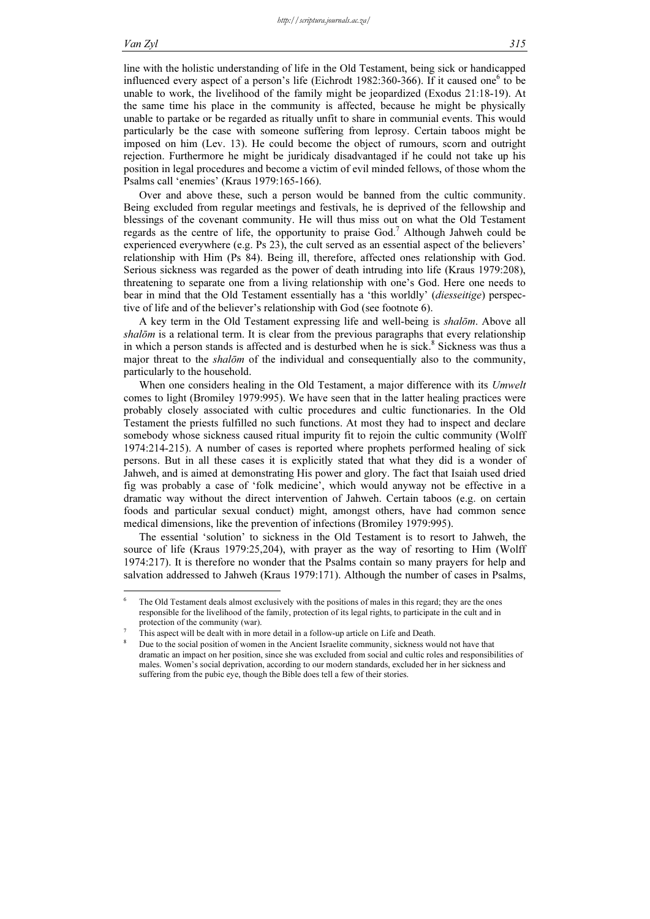#### Van Zyl 315

line with the holistic understanding of life in the Old Testament, being sick or handicapped influenced every aspect of a person's life (Eichrodt 1982:360-366). If it caused one<sup>6</sup> to be unable to work, the livelihood of the family might be jeopardized (Exodus 21:18-19). At the same time his place in the community is affected, because he might be physically unable to partake or be regarded as ritually unfit to share in communial events. This would particularly be the case with someone suffering from leprosy. Certain taboos might be imposed on him (Lev. 13). He could become the object of rumours, scorn and outright rejection. Furthermore he might be juridicaly disadvantaged if he could not take up his position in legal procedures and become a victim of evil minded fellows, of those whom the Psalms call 'enemies' (Kraus 1979:165-166).

Over and above these, such a person would be banned from the cultic community. Being excluded from regular meetings and festivals, he is deprived of the fellowship and blessings of the covenant community. He will thus miss out on what the Old Testament regards as the centre of life, the opportunity to praise God.<sup>7</sup> Although Jahweh could be experienced everywhere (e.g. Ps 23), the cult served as an essential aspect of the believers' relationship with Him (Ps 84). Being ill, therefore, affected ones relationship with God. Serious sickness was regarded as the power of death intruding into life (Kraus 1979:208), threatening to separate one from a living relationship with one's God. Here one needs to bear in mind that the Old Testament essentially has a 'this worldly' (diesseitige) perspective of life and of the believer's relationship with God (see footnote 6).

A key term in the Old Testament expressing life and well-being is shalōm. Above all shalōm is a relational term. It is clear from the previous paragraphs that every relationship in which a person stands is affected and is desturbed when he is sick.<sup>8</sup> Sickness was thus a major threat to the *shalom* of the individual and consequentially also to the community, particularly to the household.

When one considers healing in the Old Testament, a major difference with its Umwelt comes to light (Bromiley 1979:995). We have seen that in the latter healing practices were probably closely associated with cultic procedures and cultic functionaries. In the Old Testament the priests fulfilled no such functions. At most they had to inspect and declare somebody whose sickness caused ritual impurity fit to rejoin the cultic community (Wolff 1974:214-215). A number of cases is reported where prophets performed healing of sick persons. But in all these cases it is explicitly stated that what they did is a wonder of Jahweh, and is aimed at demonstrating His power and glory. The fact that Isaiah used dried fig was probably a case of 'folk medicine', which would anyway not be effective in a dramatic way without the direct intervention of Jahweh. Certain taboos (e.g. on certain foods and particular sexual conduct) might, amongst others, have had common sence medical dimensions, like the prevention of infections (Bromiley 1979:995).

The essential 'solution' to sickness in the Old Testament is to resort to Jahweh, the source of life (Kraus 1979:25,204), with prayer as the way of resorting to Him (Wolff 1974:217). It is therefore no wonder that the Psalms contain so many prayers for help and salvation addressed to Jahweh (Kraus 1979:171). Although the number of cases in Psalms,

<sup>-</sup>6 The Old Testament deals almost exclusively with the positions of males in this regard; they are the ones responsible for the livelihood of the family, protection of its legal rights, to participate in the cult and in protection of the community (war).

This aspect will be dealt with in more detail in a follow-up article on Life and Death.

<sup>8</sup> Due to the social position of women in the Ancient Israelite community, sickness would not have that dramatic an impact on her position, since she was excluded from social and cultic roles and responsibilities of males. Women's social deprivation, according to our modern standards, excluded her in her sickness and suffering from the pubic eye, though the Bible does tell a few of their stories.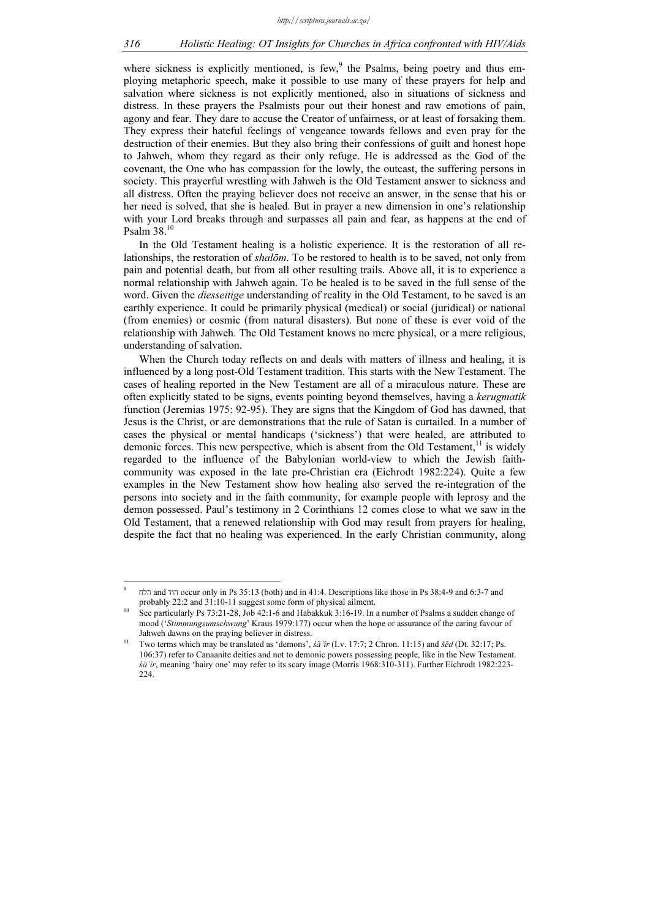where sickness is explicitly mentioned, is few, $9$  the Psalms, being poetry and thus employing metaphoric speech, make it possible to use many of these prayers for help and salvation where sickness is not explicitly mentioned, also in situations of sickness and distress. In these prayers the Psalmists pour out their honest and raw emotions of pain, agony and fear. They dare to accuse the Creator of unfairness, or at least of forsaking them. They express their hateful feelings of vengeance towards fellows and even pray for the destruction of their enemies. But they also bring their confessions of guilt and honest hope to Jahweh, whom they regard as their only refuge. He is addressed as the God of the covenant, the One who has compassion for the lowly, the outcast, the suffering persons in society. This prayerful wrestling with Jahweh is the Old Testament answer to sickness and all distress. Often the praying believer does not receive an answer, in the sense that his or her need is solved, that she is healed. But in prayer a new dimension in one's relationship with your Lord breaks through and surpasses all pain and fear, as happens at the end of Psalm 38.<sup>10</sup>

In the Old Testament healing is a holistic experience. It is the restoration of all relationships, the restoration of *shalōm*. To be restored to health is to be saved, not only from pain and potential death, but from all other resulting trails. Above all, it is to experience a normal relationship with Jahweh again. To be healed is to be saved in the full sense of the word. Given the *diesseitige* understanding of reality in the Old Testament, to be saved is an earthly experience. It could be primarily physical (medical) or social (juridical) or national (from enemies) or cosmic (from natural disasters). But none of these is ever void of the relationship with Jahweh. The Old Testament knows no mere physical, or a mere religious, understanding of salvation.

When the Church today reflects on and deals with matters of illness and healing, it is influenced by a long post-Old Testament tradition. This starts with the New Testament. The cases of healing reported in the New Testament are all of a miraculous nature. These are often explicitly stated to be signs, events pointing beyond themselves, having a kerugmatik function (Jeremias 1975: 92-95). They are signs that the Kingdom of God has dawned, that Jesus is the Christ, or are demonstrations that the rule of Satan is curtailed. In a number of cases the physical or mental handicaps ('sickness') that were healed, are attributed to demonic forces. This new perspective, which is absent from the Old Testament, $11$  is widely regarded to the influence of the Babylonian world-view to which the Jewish faithcommunity was exposed in the late pre-Christian era (Eichrodt 1982:224). Quite a few examples in the New Testament show how healing also served the re-integration of the persons into society and in the faith community, for example people with leprosy and the demon possessed. Paul's testimony in 2 Corinthians 12 comes close to what we saw in the Old Testament, that a renewed relationship with God may result from prayers for healing, despite the fact that no healing was experienced. In the early Christian community, along

-

<sup>9</sup> הלח and הוד occur only in Ps 35:13 (both) and in 41:4. Descriptions like those in Ps 38:4-9 and 6:3-7 and probably 22:2 and 31:10-11 suggest some form of physical ailment.

See particularly Ps 73:21-28, Job 42:1-6 and Habakkuk 3:16-19. In a number of Psalms a sudden change of mood ('Stimmungsumschwung' Kraus 1979:177) occur when the hope or assurance of the caring favour of Jahweh dawns on the praying believer in distress.

Two terms which may be translated as 'demons', śā'îr (Lv. 17:7; 2 Chron. 11:15) and šēd (Dt. 32:17; Ps. 106:37) refer to Canaanite deities and not to demonic powers possessing people, like in the New Testament. śā'îr, meaning 'hairy one' may refer to its scary image (Morris 1968:310-311). Further Eichrodt 1982:223- 224.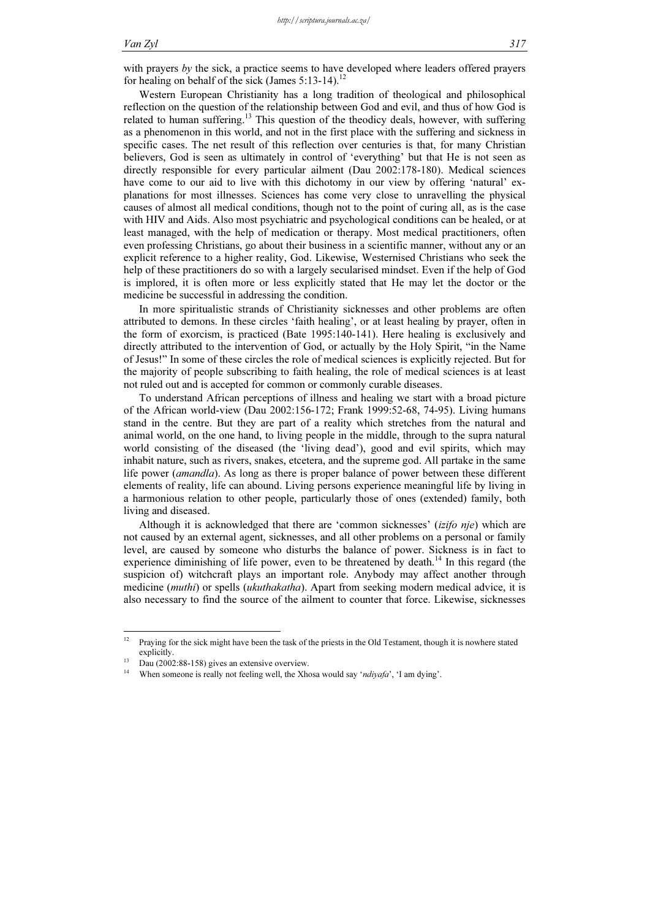with prayers by the sick, a practice seems to have developed where leaders offered prayers for healing on behalf of the sick (James  $5:13-14$ ).<sup>12</sup>

Western European Christianity has a long tradition of theological and philosophical reflection on the question of the relationship between God and evil, and thus of how God is related to human suffering.<sup>13</sup> This question of the theodicy deals, however, with suffering as a phenomenon in this world, and not in the first place with the suffering and sickness in specific cases. The net result of this reflection over centuries is that, for many Christian believers, God is seen as ultimately in control of 'everything' but that He is not seen as directly responsible for every particular ailment (Dau 2002:178-180). Medical sciences have come to our aid to live with this dichotomy in our view by offering 'natural' explanations for most illnesses. Sciences has come very close to unravelling the physical causes of almost all medical conditions, though not to the point of curing all, as is the case with HIV and Aids. Also most psychiatric and psychological conditions can be healed, or at least managed, with the help of medication or therapy. Most medical practitioners, often even professing Christians, go about their business in a scientific manner, without any or an explicit reference to a higher reality, God. Likewise, Westernised Christians who seek the help of these practitioners do so with a largely secularised mindset. Even if the help of God is implored, it is often more or less explicitly stated that He may let the doctor or the medicine be successful in addressing the condition.

In more spiritualistic strands of Christianity sicknesses and other problems are often attributed to demons. In these circles 'faith healing', or at least healing by prayer, often in the form of exorcism, is practiced (Bate 1995:140-141). Here healing is exclusively and directly attributed to the intervention of God, or actually by the Holy Spirit, "in the Name of Jesus!" In some of these circles the role of medical sciences is explicitly rejected. But for the majority of people subscribing to faith healing, the role of medical sciences is at least not ruled out and is accepted for common or commonly curable diseases.

To understand African perceptions of illness and healing we start with a broad picture of the African world-view (Dau 2002:156-172; Frank 1999:52-68, 74-95). Living humans stand in the centre. But they are part of a reality which stretches from the natural and animal world, on the one hand, to living people in the middle, through to the supra natural world consisting of the diseased (the 'living dead'), good and evil spirits, which may inhabit nature, such as rivers, snakes, etcetera, and the supreme god. All partake in the same life power (amandla). As long as there is proper balance of power between these different elements of reality, life can abound. Living persons experience meaningful life by living in a harmonious relation to other people, particularly those of ones (extended) family, both living and diseased.

Although it is acknowledged that there are 'common sicknesses' (izifo nje) which are not caused by an external agent, sicknesses, and all other problems on a personal or family level, are caused by someone who disturbs the balance of power. Sickness is in fact to experience diminishing of life power, even to be threatened by death.<sup>14</sup> In this regard (the suspicion of) witchcraft plays an important role. Anybody may affect another through medicine *(muthi)* or spells *(ukuthakatha)*. Apart from seeking modern medical advice, it is also necessary to find the source of the ailment to counter that force. Likewise, sicknesses

 $12$ <sup>12</sup> Praying for the sick might have been the task of the priests in the Old Testament, though it is nowhere stated explicitly.<br>Dau (2002:88-158) gives an extensive overview.

When someone is really not feeling well, the Xhosa would say 'ndiyafa', 'I am dying'.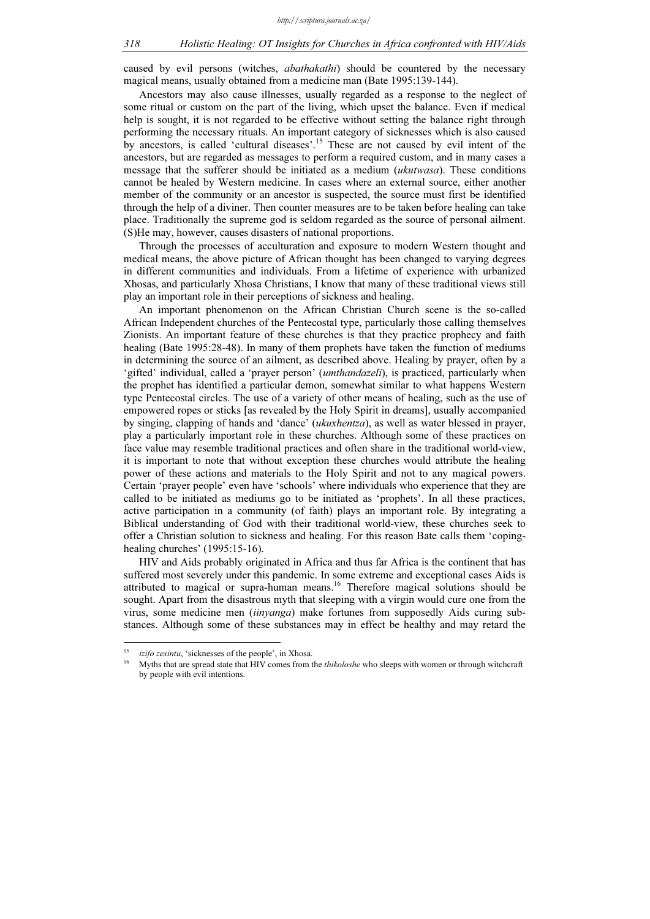### 318 Holistic Healing: OT Insights for Churches in Africa confronted with HIV/Aids

caused by evil persons (witches, *abathakathi*) should be countered by the necessary magical means, usually obtained from a medicine man (Bate 1995:139-144).

Ancestors may also cause illnesses, usually regarded as a response to the neglect of some ritual or custom on the part of the living, which upset the balance. Even if medical help is sought, it is not regarded to be effective without setting the balance right through performing the necessary rituals. An important category of sicknesses which is also caused by ancestors, is called 'cultural diseases'.<sup>15</sup> These are not caused by evil intent of the ancestors, but are regarded as messages to perform a required custom, and in many cases a message that the sufferer should be initiated as a medium *(ukutwasa)*. These conditions cannot be healed by Western medicine. In cases where an external source, either another member of the community or an ancestor is suspected, the source must first be identified through the help of a diviner. Then counter measures are to be taken before healing can take place. Traditionally the supreme god is seldom regarded as the source of personal ailment. (S)He may, however, causes disasters of national proportions.

Through the processes of acculturation and exposure to modern Western thought and medical means, the above picture of African thought has been changed to varying degrees in different communities and individuals. From a lifetime of experience with urbanized Xhosas, and particularly Xhosa Christians, I know that many of these traditional views still play an important role in their perceptions of sickness and healing.

An important phenomenon on the African Christian Church scene is the so-called African Independent churches of the Pentecostal type, particularly those calling themselves Zionists. An important feature of these churches is that they practice prophecy and faith healing (Bate 1995:28-48). In many of them prophets have taken the function of mediums in determining the source of an ailment, as described above. Healing by prayer, often by a 'gifted' individual, called a 'prayer person' (umthandazeli), is practiced, particularly when the prophet has identified a particular demon, somewhat similar to what happens Western type Pentecostal circles. The use of a variety of other means of healing, such as the use of empowered ropes or sticks [as revealed by the Holy Spirit in dreams], usually accompanied by singing, clapping of hands and 'dance' (ukuxhentza), as well as water blessed in prayer, play a particularly important role in these churches. Although some of these practices on face value may resemble traditional practices and often share in the traditional world-view, it is important to note that without exception these churches would attribute the healing power of these actions and materials to the Holy Spirit and not to any magical powers. Certain 'prayer people' even have 'schools' where individuals who experience that they are called to be initiated as mediums go to be initiated as 'prophets'. In all these practices, active participation in a community (of faith) plays an important role. By integrating a Biblical understanding of God with their traditional world-view, these churches seek to offer a Christian solution to sickness and healing. For this reason Bate calls them 'copinghealing churches' (1995:15-16).

HIV and Aids probably originated in Africa and thus far Africa is the continent that has suffered most severely under this pandemic. In some extreme and exceptional cases Aids is attributed to magical or supra-human means.<sup>16</sup> Therefore magical solutions should be sought. Apart from the disastrous myth that sleeping with a virgin would cure one from the virus, some medicine men (iinyanga) make fortunes from supposedly Aids curing substances. Although some of these substances may in effect be healthy and may retard the

 $15$ <sup>15</sup> izifo zesintu, 'sicknesses of the people', in Xhosa.

Myths that are spread state that HIV comes from the *thikoloshe* who sleeps with women or through witchcraft by people with evil intentions.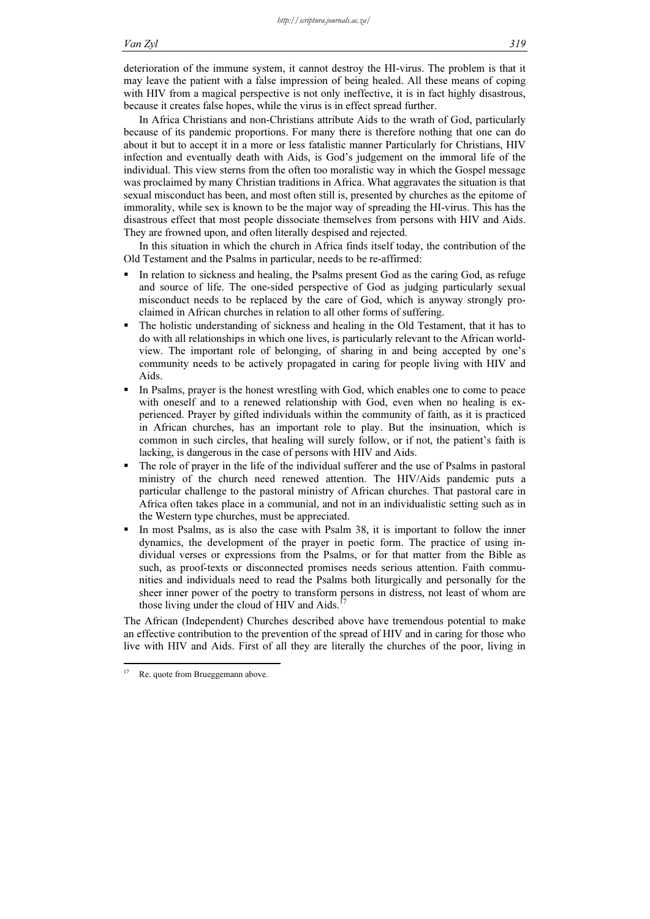#### Van Zyl 319

deterioration of the immune system, it cannot destroy the HI-virus. The problem is that it may leave the patient with a false impression of being healed. All these means of coping with HIV from a magical perspective is not only ineffective, it is in fact highly disastrous, because it creates false hopes, while the virus is in effect spread further.

In Africa Christians and non-Christians attribute Aids to the wrath of God, particularly because of its pandemic proportions. For many there is therefore nothing that one can do about it but to accept it in a more or less fatalistic manner Particularly for Christians, HIV infection and eventually death with Aids, is God's judgement on the immoral life of the individual. This view sterns from the often too moralistic way in which the Gospel message was proclaimed by many Christian traditions in Africa. What aggravates the situation is that sexual misconduct has been, and most often still is, presented by churches as the epitome of immorality, while sex is known to be the major way of spreading the HI-virus. This has the disastrous effect that most people dissociate themselves from persons with HIV and Aids. They are frowned upon, and often literally despised and rejected.

In this situation in which the church in Africa finds itself today, the contribution of the Old Testament and the Psalms in particular, needs to be re-affirmed:

- - In relation to sickness and healing, the Psalms present God as the caring God, as refuge and source of life. The one-sided perspective of God as judging particularly sexual misconduct needs to be replaced by the care of God, which is anyway strongly proclaimed in African churches in relation to all other forms of suffering.
- - The holistic understanding of sickness and healing in the Old Testament, that it has to do with all relationships in which one lives, is particularly relevant to the African worldview. The important role of belonging, of sharing in and being accepted by one's community needs to be actively propagated in caring for people living with HIV and Aids.
- - In Psalms, prayer is the honest wrestling with God, which enables one to come to peace with oneself and to a renewed relationship with God, even when no healing is experienced. Prayer by gifted individuals within the community of faith, as it is practiced in African churches, has an important role to play. But the insinuation, which is common in such circles, that healing will surely follow, or if not, the patient's faith is lacking, is dangerous in the case of persons with HIV and Aids.
- - The role of prayer in the life of the individual sufferer and the use of Psalms in pastoral ministry of the church need renewed attention. The HIV/Aids pandemic puts a particular challenge to the pastoral ministry of African churches. That pastoral care in Africa often takes place in a communial, and not in an individualistic setting such as in the Western type churches, must be appreciated.
- - In most Psalms, as is also the case with Psalm 38, it is important to follow the inner dynamics, the development of the prayer in poetic form. The practice of using individual verses or expressions from the Psalms, or for that matter from the Bible as such, as proof-texts or disconnected promises needs serious attention. Faith communities and individuals need to read the Psalms both liturgically and personally for the sheer inner power of the poetry to transform persons in distress, not least of whom are those living under the cloud of HIV and Aids.<sup>17</sup>

The African (Independent) Churches described above have tremendous potential to make an effective contribution to the prevention of the spread of HIV and in caring for those who live with HIV and Aids. First of all they are literally the churches of the poor, living in

 $\frac{1}{2}$ Re. quote from Brueggemann above.